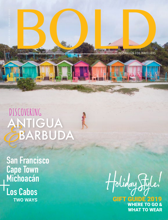**INSPIRATION FOR TRAVELLERS** 

# COCK ENDS CONSULTED BELLEVILLE DEVICE A 2020 ANTIGUA **BARBUDA** DISCOVERING

**San Francisco Cape Town Michoacán**

**Los Cabos**



WHERE TO GO & WHAT TO WEAR **GIFT GUIDE 20**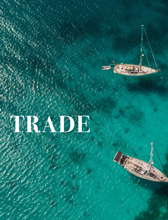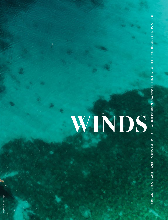## **WINDS**

BOLD 67 SURE, ANTIGUA'S BEACHES AND RESORTS ARE SPECTACULAR. BUT GORDON BOWNESS FELL IN LOVE WITH THE CARIBBEAN COUNTRY'S COOL SURE, ANTIGUA'S BEACHES AND RESORTS ARE SPECTACULAR. BUT GORDON BOWNESS FELL IN LOVE WITH THE CARIBBEAN COUNTRY'S COOL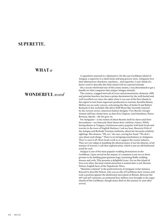## **SUPERETTE.**

## **WHAT** *a*

## **WONDERFUL** *word*

A superlative married to a diminutive. On the east Caribbean island of Antigua, a superette is a small mom-and-pop grocery store. Antiguans love their diminutives: shackette, snackette… and superette. I can't think of a better word to describe this little island with its outsized attitude. On a recent whirlwind tour of this sunny nation, I was determined to get a

handle on what comprises that unique Antigua attitude. The country, a jagged network of coves and promontories, dramatic cliffs and pristine beaches, has been a prime destination for the well-heeled and well-travelled ever since the 1960s when it was one of the first islands in the region to turn from sugarcane production to tourism. Socialite Bunny Mellon was an early convert, welcoming the likes of Jackie O and Robert Kennedy to her secluded villa above Half Moon Bay (recently restored by the current owner, American fashion designer Tory Burch). Giorgio

Armani still has a home here, as does Eric Clapton, Lord Sainsbury, Pierce Brosnan, Oprah… the list goes on. Yet Antiguans—a tiny nation of about 80,000, built by slaves and their descendants—are famously blasé about their celebrity visitors. While

having dinner at Trappas, a boisterous eatery popular with both locals and tourists in the town of English Harbour, I ask my host, Mauricia Frith of the Antigua and Barbuda Tourism Authority, about her favourite celebrity sightings. She demurs. "Oh, no," she says, waving her hand. "We don't care about such things." There is an intriguing nonchalance to Antiguans. They've seen it all. Most locals work in or support the tourist industry. They are very adept at handling the idiosyncrasies, if not the idiocies, of all manner of tourists. I call that sophistication, which is just an old-fashioned word for cool.

Antigua is one of the most popular wedding destinations in the Caribbean. Upon arrival in the airport, it's common to see two or three grooms-to-be holding giant garment bags containing fluffy wedding dresses and veils. This presents a delightful irony. For on this island of love-ever-after, the most visited attraction is named after a cad, Horatio Nelson, English hero of the Napoleonic Wars.

"Maritime criminal" is the preferred term of Antiguan writer Jamaica Kincaid to describe Nelson, who was an ally of Caribbean slave owners and took a position against the abolitionist movement in Britain. Between the 16th and 19th centuries, an estimated four million were brought to the sugar islands of the Caribbean, though many died on the journey or soon after arrival.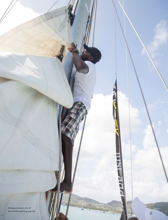Antigua remains one of the world's yachting capitals.

BOLD 69

ul)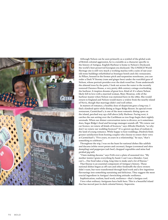

Although Nelson can be seen primarily as a symbol of the global scale of British colonial aggression, he is a notable as a character specific to the history of Antigua. English Harbour is home to Nelson's Dockyard, the world's best-preserved Georgian-era dockyard. The UNESCO World Heritage site is still very much a working marina with a suite of 250-yearold stone buildings refurbished as boutique hotels and chic restaurants. At Pillars, housed in the former pitch and turpentine storehouse, you can order a Dark 'N' Stormy (rum and ginger beer) under the watchful gaze of Nelson, whose portrait presides over the dark wood bar. From underneath the almond trees by the patio, I look out across the water to the recently restored Clarence House, a very pretty 18th-century cottage overlooking the harbour. It inspires dreams of great love. Kind of. It's where Nelson likely fell in love with a married woman, Mary Moutray, wife of the harbour master when Nelson was stationed here in the 1780s. She would return to England and Nelson would marry a widow from the nearby island of Nevis, though that marriage didn't end well either.

In matters of romance, a healthy dose of skepticism goes a long way. I find a kindred spirit while dining at Sugar Ridge Resort. Its special event restaurant, Carmichael's, is one of the most romantic dining spots on the island, perched way up a hill above Jolly Harbour. Facing west, it catches the sun setting over the Caribbean as tree frogs begin their nightly serenade. When our dinner conversation turns to divorce, as it sometimes does, Sugar Ridge's food and beverage manager sounds off. "We renew our car licence, we renew all kinds of licences," says Alfredo Diedrick, "so why don't we renew our wedding licences?" It's a grown-up dose of realism in the land of young romance. While happy to host weddings, Diedrick finds greater satisfaction from hosting couples who choose to renew their vows at Carmichael's. "Five years, 10 years in a relationship," he says, "that's something to celebrate."

Throughout the trip, I was on the hunt for national dishes like saltfish and ducana (white sweet potato and coconut), fungee (cornmeal and okra dumpling) and pepperpot (salt beef, chopped vegetables and mine had pickled pig tail).

"I hate making ducana," says Frith over a plate of seasoned rice. "My mother insists I grate everything by hand. I can't use a blender, I just can't.... Our food takes a long, long time to make and a lot of finesse."

That finesse is an essential component of Antigua's history. These national dishes began as off-cuts and other foodstuffs the slave owners didn't want, but were transformed through hard work and a few ingenious flavourings into something sustaining and delicious. They suggest the most crucial ingredient in Antigua's bewitching attitude: resilience.

Sophistication, realism, hard work, resilience—that's Antigua cool. I love what ordinary Antiguans have built here. This is a beautiful island that has moved past its dark colonial history. Superette.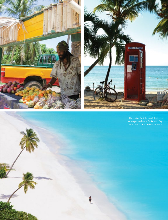



Clockwise: Fruit fresh off the trees, the telephone box at Dickenson Bay,

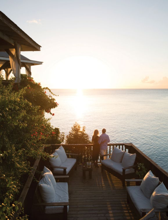